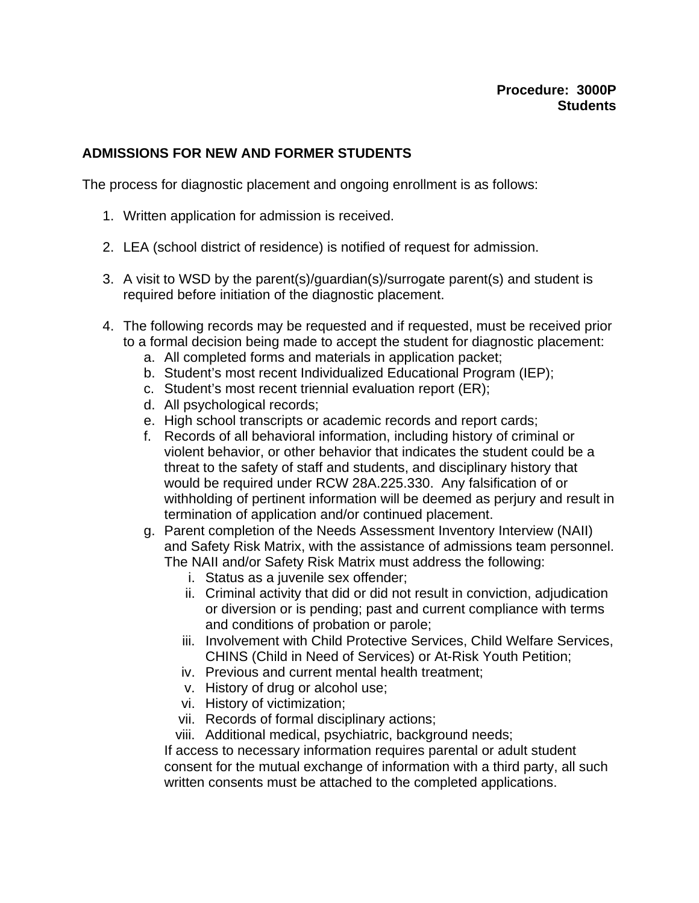## **ADMISSIONS FOR NEW AND FORMER STUDENTS**

The process for diagnostic placement and ongoing enrollment is as follows:

- 1. Written application for admission is received.
- 2. LEA (school district of residence) is notified of request for admission.
- 3. A visit to WSD by the parent(s)/guardian(s)/surrogate parent(s) and student is required before initiation of the diagnostic placement.
- 4. The following records may be requested and if requested, must be received prior to a formal decision being made to accept the student for diagnostic placement:
	- a. All completed forms and materials in application packet;
	- b. Student's most recent Individualized Educational Program (IEP);
	- c. Student's most recent triennial evaluation report (ER);
	- d. All psychological records;
	- e. High school transcripts or academic records and report cards;
	- f. Records of all behavioral information, including history of criminal or violent behavior, or other behavior that indicates the student could be a threat to the safety of staff and students, and disciplinary history that would be required under RCW 28A.225.330. Any falsification of or withholding of pertinent information will be deemed as perjury and result in termination of application and/or continued placement.
	- g. Parent completion of the Needs Assessment Inventory Interview (NAII) and Safety Risk Matrix, with the assistance of admissions team personnel. The NAII and/or Safety Risk Matrix must address the following:
		- i. Status as a juvenile sex offender;
		- ii. Criminal activity that did or did not result in conviction, adjudication or diversion or is pending; past and current compliance with terms and conditions of probation or parole;
		- iii. Involvement with Child Protective Services, Child Welfare Services, CHINS (Child in Need of Services) or At-Risk Youth Petition;
		- iv. Previous and current mental health treatment;
		- v. History of drug or alcohol use;
		- vi. History of victimization;
		- vii. Records of formal disciplinary actions;
		- viii. Additional medical, psychiatric, background needs;

If access to necessary information requires parental or adult student consent for the mutual exchange of information with a third party, all such written consents must be attached to the completed applications.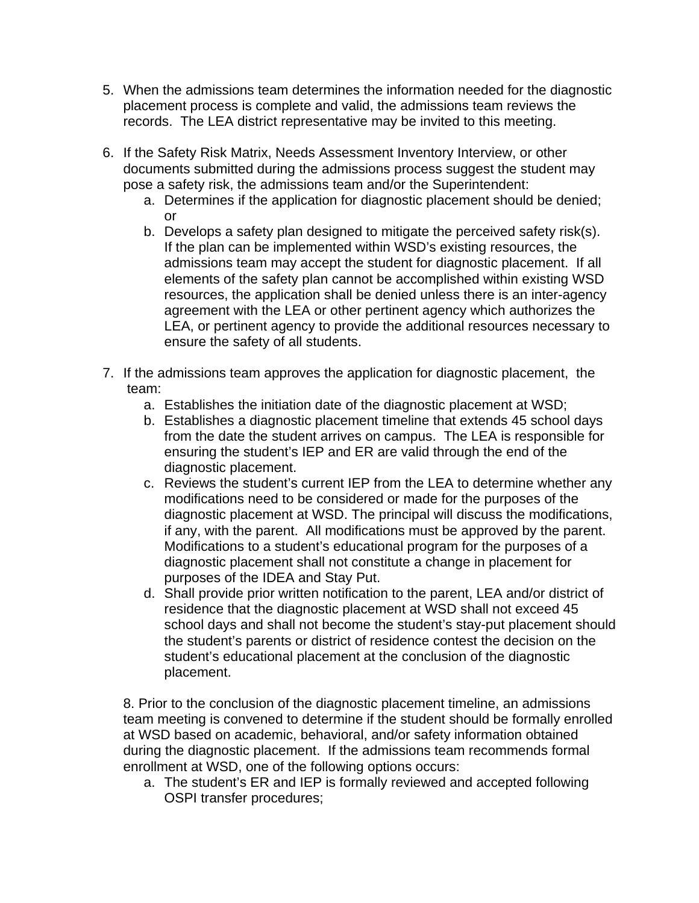- 5. When the admissions team determines the information needed for the diagnostic placement process is complete and valid, the admissions team reviews the records. The LEA district representative may be invited to this meeting.
- 6. If the Safety Risk Matrix, Needs Assessment Inventory Interview, or other documents submitted during the admissions process suggest the student may pose a safety risk, the admissions team and/or the Superintendent:
	- a. Determines if the application for diagnostic placement should be denied; or
	- b. Develops a safety plan designed to mitigate the perceived safety risk(s). If the plan can be implemented within WSD's existing resources, the admissions team may accept the student for diagnostic placement. If all elements of the safety plan cannot be accomplished within existing WSD resources, the application shall be denied unless there is an inter-agency agreement with the LEA or other pertinent agency which authorizes the LEA, or pertinent agency to provide the additional resources necessary to ensure the safety of all students.
- 7. If the admissions team approves the application for diagnostic placement, the team:
	- a. Establishes the initiation date of the diagnostic placement at WSD;
	- b. Establishes a diagnostic placement timeline that extends 45 school days from the date the student arrives on campus. The LEA is responsible for ensuring the student's IEP and ER are valid through the end of the diagnostic placement.
	- c. Reviews the student's current IEP from the LEA to determine whether any modifications need to be considered or made for the purposes of the diagnostic placement at WSD. The principal will discuss the modifications, if any, with the parent. All modifications must be approved by the parent. Modifications to a student's educational program for the purposes of a diagnostic placement shall not constitute a change in placement for purposes of the IDEA and Stay Put.
	- d. Shall provide prior written notification to the parent, LEA and/or district of residence that the diagnostic placement at WSD shall not exceed 45 school days and shall not become the student's stay-put placement should the student's parents or district of residence contest the decision on the student's educational placement at the conclusion of the diagnostic placement.

8. Prior to the conclusion of the diagnostic placement timeline, an admissions team meeting is convened to determine if the student should be formally enrolled at WSD based on academic, behavioral, and/or safety information obtained during the diagnostic placement. If the admissions team recommends formal enrollment at WSD, one of the following options occurs:

a. The student's ER and IEP is formally reviewed and accepted following OSPI transfer procedures;